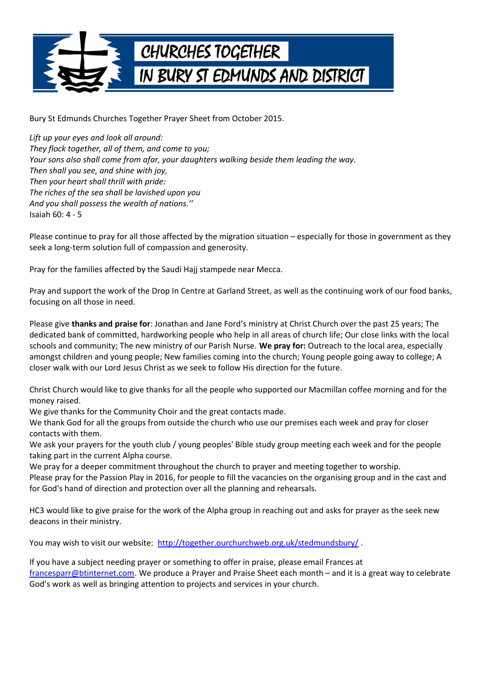

Bury St Edmunds Churches Together Prayer Sheet from October 2015.

*Lift up your eyes and look all around: They flock together, all of them, and come to you; Your sons also shall come from afar, your daughters walking beside them leading the way. Then shall you see, and shine with joy, Then your heart shall thrill with pride: The riches of the sea shall be lavished upon you And you shall possess the wealth of nations.''* Isaiah 60: 4 - 5

Please continue to pray for all those affected by the migration situation – especially for those in government as they seek a long-term solution full of compassion and generosity.

Pray for the families affected by the Saudi Hajj stampede near Mecca.

Pray and support the work of the Drop In Centre at Garland Street, as well as the continuing work of our food banks, focusing on all those in need.

Please give **thanks and praise for**: Jonathan and Jane Ford's ministry at Christ Church over the past 25 years; The dedicated bank of committed, hardworking people who help in all areas of church life; Our close links with the local schools and community; The new ministry of our Parish Nurse. **We pray for:** Outreach to the local area, especially amongst children and young people; New families coming into the church; Young people going away to college; A closer walk with our Lord Jesus Christ as we seek to follow His direction for the future.

Christ Church would like to give thanks for all the people who supported our Macmillan coffee morning and for the money raised.

We give thanks for the Community Choir and the great contacts made.

We thank God for all the groups from outside the church who use our premises each week and pray for closer contacts with them.

We ask your prayers for the youth club / young peoples' Bible study group meeting each week and for the people taking part in the current Alpha course.

We pray for a deeper commitment throughout the church to prayer and meeting together to worship.

Please pray for the Passion Play in 2016, for people to fill the vacancies on the organising group and in the cast and for God's hand of direction and protection over all the planning and rehearsals.

HC3 would like to give praise for the work of the Alpha group in reaching out and asks for prayer as the seek new deacons in their ministry.

You may wish to visit our website: http://together.ourchurchweb.org.uk/stedmundsbury/

If you have a subject needing prayer or something to offer in praise, please email Frances at [francesparr@btinternet.com.](mailto:francesparr@btinternet.com) We produce a Prayer and Praise Sheet each month – and it is a great way to celebrate God's work as well as bringing attention to projects and services in your church.